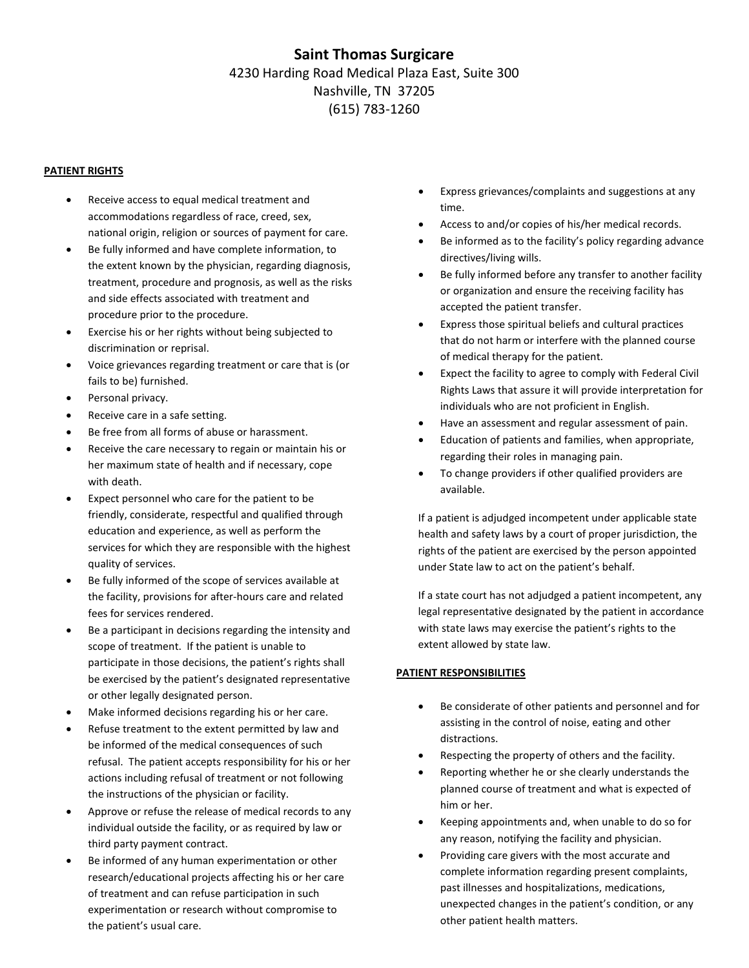# **Saint Thomas Surgicare** 4230 Harding Road Medical Plaza East, Suite 300 Nashville, TN 37205 (615) 783-1260

### **PATIENT RIGHTS**

- Receive access to equal medical treatment and accommodations regardless of race, creed, sex, national origin, religion or sources of payment for care.
- Be fully informed and have complete information, to the extent known by the physician, regarding diagnosis, treatment, procedure and prognosis, as well as the risks and side effects associated with treatment and procedure prior to the procedure.
- Exercise his or her rights without being subjected to discrimination or reprisal.
- Voice grievances regarding treatment or care that is (or fails to be) furnished.
- Personal privacy.
- Receive care in a safe setting.
- Be free from all forms of abuse or harassment.
- Receive the care necessary to regain or maintain his or her maximum state of health and if necessary, cope with death.
- Expect personnel who care for the patient to be friendly, considerate, respectful and qualified through education and experience, as well as perform the services for which they are responsible with the highest quality of services.
- Be fully informed of the scope of services available at the facility, provisions for after-hours care and related fees for services rendered.
- Be a participant in decisions regarding the intensity and scope of treatment. If the patient is unable to participate in those decisions, the patient's rights shall be exercised by the patient's designated representative or other legally designated person.
- Make informed decisions regarding his or her care.
- Refuse treatment to the extent permitted by law and be informed of the medical consequences of such refusal. The patient accepts responsibility for his or her actions including refusal of treatment or not following the instructions of the physician or facility.
- Approve or refuse the release of medical records to any individual outside the facility, or as required by law or third party payment contract.
- Be informed of any human experimentation or other research/educational projects affecting his or her care of treatment and can refuse participation in such experimentation or research without compromise to the patient's usual care.
- Express grievances/complaints and suggestions at any time.
- Access to and/or copies of his/her medical records.
- Be informed as to the facility's policy regarding advance directives/living wills.
- Be fully informed before any transfer to another facility or organization and ensure the receiving facility has accepted the patient transfer.
- Express those spiritual beliefs and cultural practices that do not harm or interfere with the planned course of medical therapy for the patient.
- Expect the facility to agree to comply with Federal Civil Rights Laws that assure it will provide interpretation for individuals who are not proficient in English.
- Have an assessment and regular assessment of pain.
- Education of patients and families, when appropriate, regarding their roles in managing pain.
- To change providers if other qualified providers are available.

If a patient is adjudged incompetent under applicable state health and safety laws by a court of proper jurisdiction, the rights of the patient are exercised by the person appointed under State law to act on the patient's behalf.

If a state court has not adjudged a patient incompetent, any legal representative designated by the patient in accordance with state laws may exercise the patient's rights to the extent allowed by state law.

### **PATIENT RESPONSIBILITIES**

- Be considerate of other patients and personnel and for assisting in the control of noise, eating and other distractions.
- Respecting the property of others and the facility.
- Reporting whether he or she clearly understands the planned course of treatment and what is expected of him or her.
- Keeping appointments and, when unable to do so for any reason, notifying the facility and physician.
- Providing care givers with the most accurate and complete information regarding present complaints, past illnesses and hospitalizations, medications, unexpected changes in the patient's condition, or any other patient health matters.